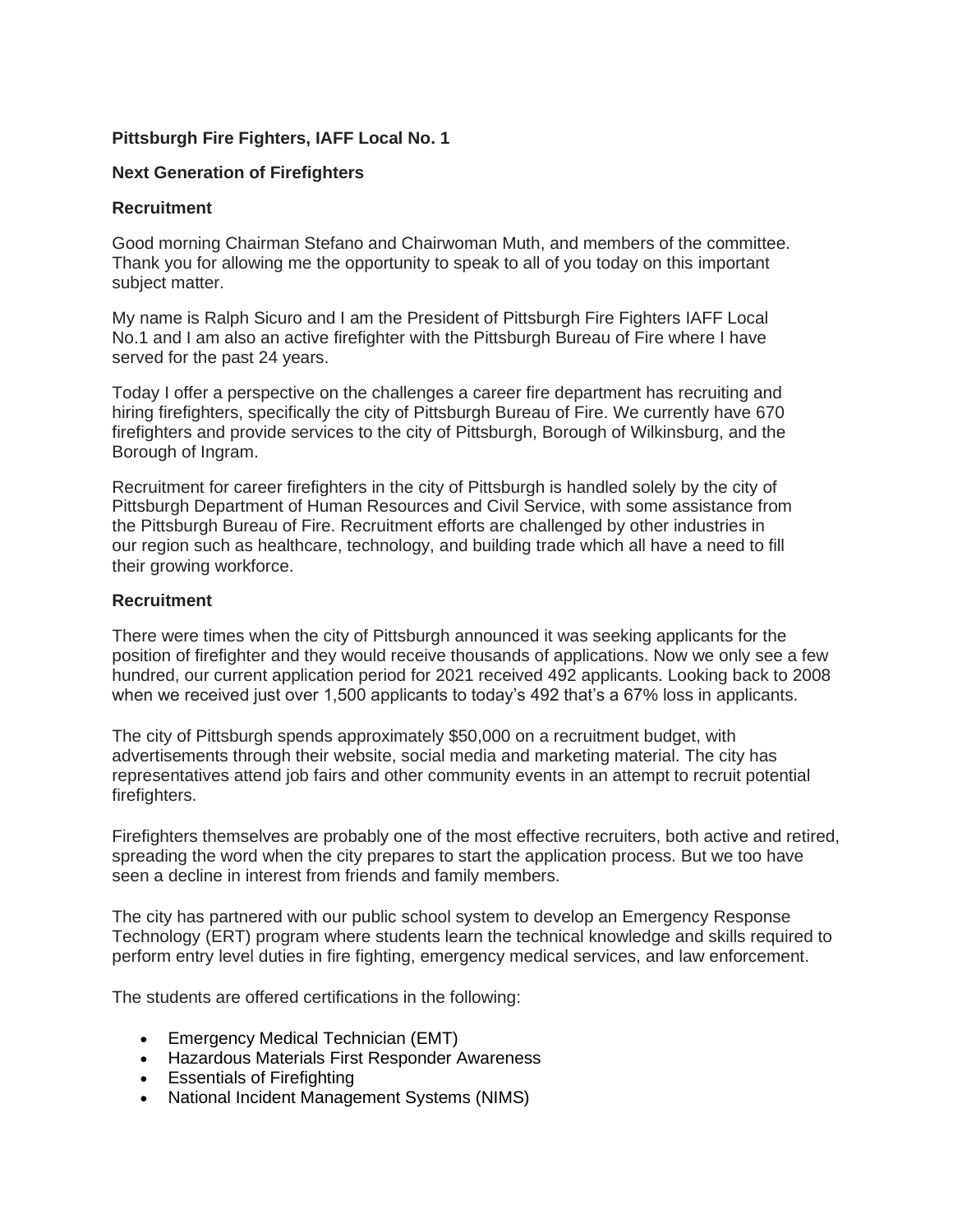# **Pittsburgh Fire Fighters, IAFF Local No. 1**

## **Next Generation of Firefighters**

#### **Recruitment**

Good morning Chairman Stefano and Chairwoman Muth, and members of the committee. Thank you for allowing me the opportunity to speak to all of you today on this important subject matter.

My name is Ralph Sicuro and I am the President of Pittsburgh Fire Fighters IAFF Local No.1 and I am also an active firefighter with the Pittsburgh Bureau of Fire where I have served for the past 24 years.

Today I offer a perspective on the challenges a career fire department has recruiting and hiring firefighters, specifically the city of Pittsburgh Bureau of Fire. We currently have 670 firefighters and provide services to the city of Pittsburgh, Borough of Wilkinsburg, and the Borough of Ingram.

Recruitment for career firefighters in the city of Pittsburgh is handled solely by the city of Pittsburgh Department of Human Resources and Civil Service, with some assistance from the Pittsburgh Bureau of Fire. Recruitment efforts are challenged by other industries in our region such as healthcare, technology, and building trade which all have a need to fill their growing workforce.

### **Recruitment**

There were times when the city of Pittsburgh announced it was seeking applicants for the position of firefighter and they would receive thousands of applications. Now we only see a few hundred, our current application period for 2021 received 492 applicants. Looking back to 2008 when we received just over 1,500 applicants to today's 492 that's a 67% loss in applicants.

The city of Pittsburgh spends approximately \$50,000 on a recruitment budget, with advertisements through their website, social media and marketing material. The city has representatives attend job fairs and other community events in an attempt to recruit potential firefighters.

Firefighters themselves are probably one of the most effective recruiters, both active and retired, spreading the word when the city prepares to start the application process. But we too have seen a decline in interest from friends and family members.

The city has partnered with our public school system to develop an Emergency Response Technology (ERT) program where students learn the technical knowledge and skills required to perform entry level duties in fire fighting, emergency medical services, and law enforcement.

The students are offered certifications in the following:

- Emergency Medical Technician (EMT)
- Hazardous Materials First Responder Awareness
- Essentials of Firefighting
- National Incident Management Systems (NIMS)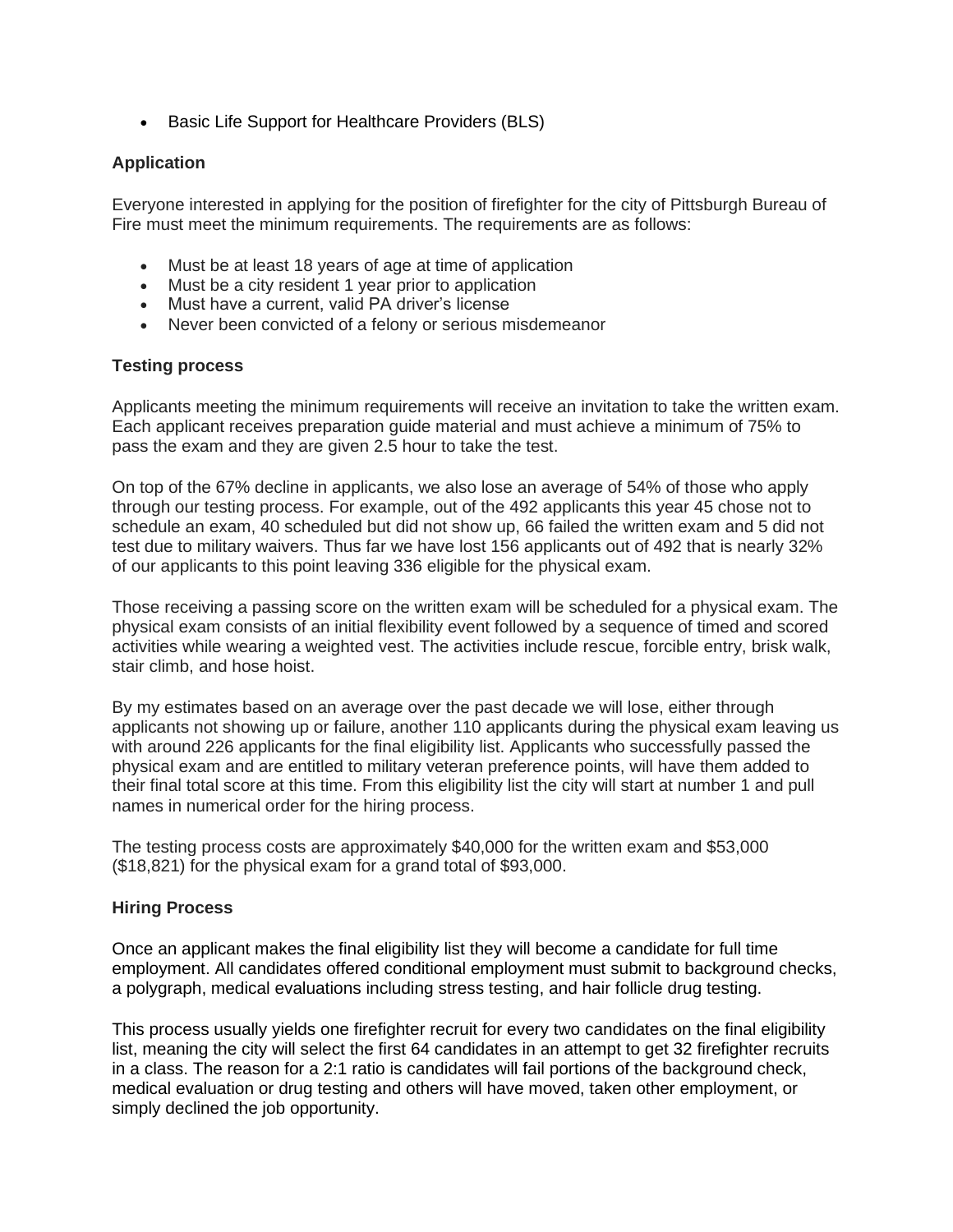• Basic Life Support for Healthcare Providers (BLS)

### **Application**

Everyone interested in applying for the position of firefighter for the city of Pittsburgh Bureau of Fire must meet the minimum requirements. The requirements are as follows:

- Must be at least 18 years of age at time of application
- Must be a city resident 1 year prior to application
- Must have a current, valid PA driver's license
- Never been convicted of a felony or serious misdemeanor

#### **Testing process**

Applicants meeting the minimum requirements will receive an invitation to take the written exam. Each applicant receives preparation guide material and must achieve a minimum of 75% to pass the exam and they are given 2.5 hour to take the test.

On top of the 67% decline in applicants, we also lose an average of 54% of those who apply through our testing process. For example, out of the 492 applicants this year 45 chose not to schedule an exam, 40 scheduled but did not show up, 66 failed the written exam and 5 did not test due to military waivers. Thus far we have lost 156 applicants out of 492 that is nearly 32% of our applicants to this point leaving 336 eligible for the physical exam.

Those receiving a passing score on the written exam will be scheduled for a physical exam. The physical exam consists of an initial flexibility event followed by a sequence of timed and scored activities while wearing a weighted vest. The activities include rescue, forcible entry, brisk walk, stair climb, and hose hoist.

By my estimates based on an average over the past decade we will lose, either through applicants not showing up or failure, another 110 applicants during the physical exam leaving us with around 226 applicants for the final eligibility list. Applicants who successfully passed the physical exam and are entitled to military veteran preference points, will have them added to their final total score at this time. From this eligibility list the city will start at number 1 and pull names in numerical order for the hiring process.

The testing process costs are approximately \$40,000 for the written exam and \$53,000 (\$18,821) for the physical exam for a grand total of \$93,000.

#### **Hiring Process**

Once an applicant makes the final eligibility list they will become a candidate for full time employment. All candidates offered conditional employment must submit to background checks, a polygraph, medical evaluations including stress testing, and hair follicle drug testing.

This process usually yields one firefighter recruit for every two candidates on the final eligibility list, meaning the city will select the first 64 candidates in an attempt to get 32 firefighter recruits in a class. The reason for a 2:1 ratio is candidates will fail portions of the background check, medical evaluation or drug testing and others will have moved, taken other employment, or simply declined the job opportunity.